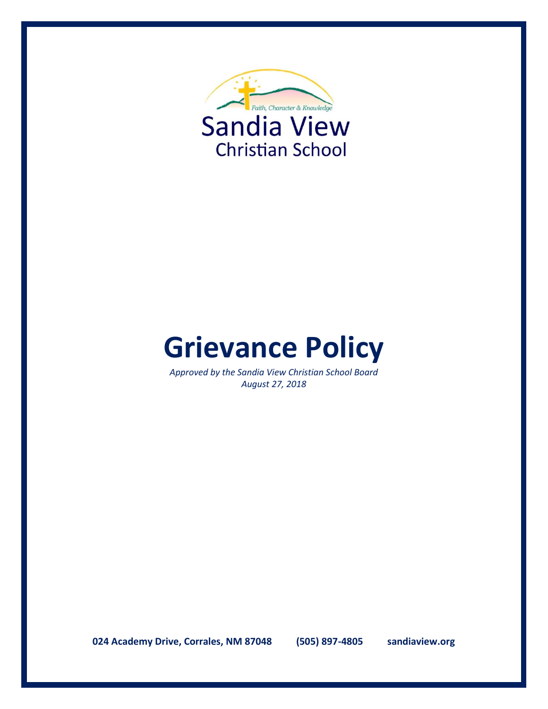

# **Grievance Policy**

*Approved by the Sandia View Christian School Board August 27, 2018*

**024 Academy Drive, Corrales, NM 87048 (505) 897-4805 sandiaview.org**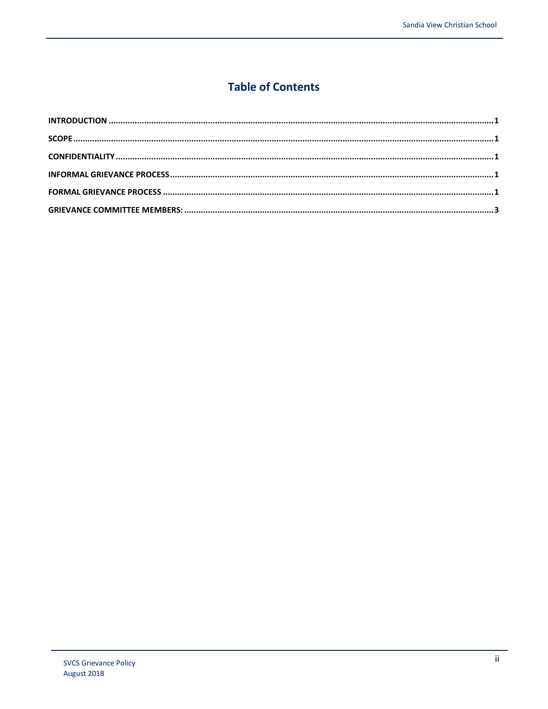## **Table of Contents**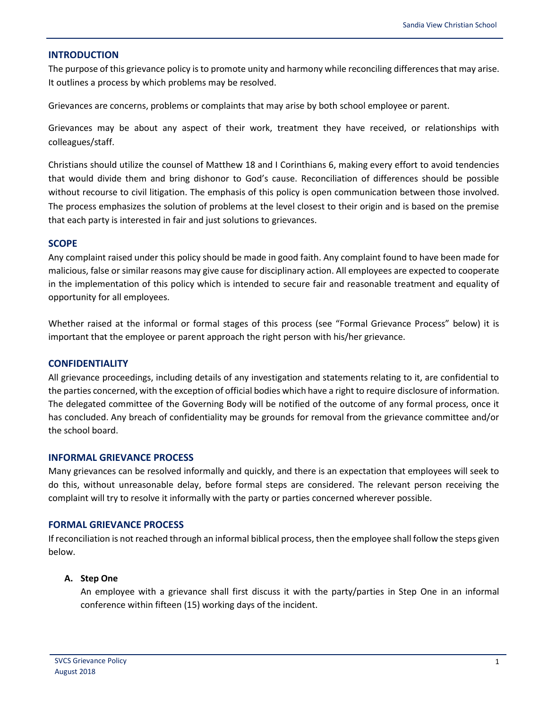#### <span id="page-2-0"></span>**INTRODUCTION**

The purpose of this grievance policy is to promote unity and harmony while reconciling differences that may arise. It outlines a process by which problems may be resolved.

Grievances are concerns, problems or complaints that may arise by both school employee or parent.

Grievances may be about any aspect of their work, treatment they have received, or relationships with colleagues/staff.

Christians should utilize the counsel of Matthew 18 and I Corinthians 6, making every effort to avoid tendencies that would divide them and bring dishonor to God's cause. Reconciliation of differences should be possible without recourse to civil litigation. The emphasis of this policy is open communication between those involved. The process emphasizes the solution of problems at the level closest to their origin and is based on the premise that each party is interested in fair and just solutions to grievances.

#### <span id="page-2-1"></span>**SCOPE**

Any complaint raised under this policy should be made in good faith. Any complaint found to have been made for malicious, false or similar reasons may give cause for disciplinary action. All employees are expected to cooperate in the implementation of this policy which is intended to secure fair and reasonable treatment and equality of opportunity for all employees.

Whether raised at the informal or formal stages of this process (see "Formal Grievance Process" below) it is important that the employee or parent approach the right person with his/her grievance.

#### <span id="page-2-2"></span>**CONFIDENTIALITY**

All grievance proceedings, including details of any investigation and statements relating to it, are confidential to the parties concerned, with the exception of official bodies which have a right to require disclosure of information. The delegated committee of the Governing Body will be notified of the outcome of any formal process, once it has concluded. Any breach of confidentiality may be grounds for removal from the grievance committee and/or the school board.

#### <span id="page-2-3"></span>**INFORMAL GRIEVANCE PROCESS**

Many grievances can be resolved informally and quickly, and there is an expectation that employees will seek to do this, without unreasonable delay, before formal steps are considered. The relevant person receiving the complaint will try to resolve it informally with the party or parties concerned wherever possible.

#### <span id="page-2-4"></span>**FORMAL GRIEVANCE PROCESS**

If reconciliation is not reached through an informal biblical process, then the employee shall follow the steps given below.

#### **A. Step One**

An employee with a grievance shall first discuss it with the party/parties in Step One in an informal conference within fifteen (15) working days of the incident.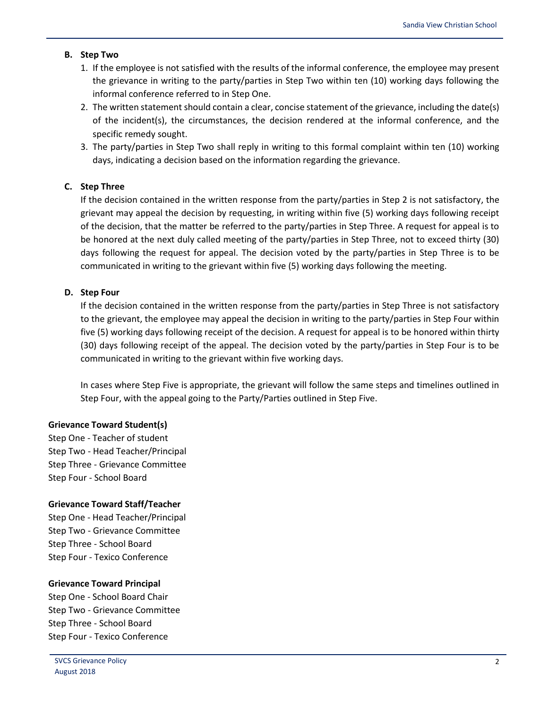#### **B. Step Two**

- 1. If the employee is not satisfied with the results of the informal conference, the employee may present the grievance in writing to the party/parties in Step Two within ten (10) working days following the informal conference referred to in Step One.
- 2. The written statement should contain a clear, concise statement of the grievance, including the date(s) of the incident(s), the circumstances, the decision rendered at the informal conference, and the specific remedy sought.
- 3. The party/parties in Step Two shall reply in writing to this formal complaint within ten (10) working days, indicating a decision based on the information regarding the grievance.

#### **C. Step Three**

If the decision contained in the written response from the party/parties in Step 2 is not satisfactory, the grievant may appeal the decision by requesting, in writing within five (5) working days following receipt of the decision, that the matter be referred to the party/parties in Step Three. A request for appeal is to be honored at the next duly called meeting of the party/parties in Step Three, not to exceed thirty (30) days following the request for appeal. The decision voted by the party/parties in Step Three is to be communicated in writing to the grievant within five (5) working days following the meeting.

#### **D. Step Four**

If the decision contained in the written response from the party/parties in Step Three is not satisfactory to the grievant, the employee may appeal the decision in writing to the party/parties in Step Four within five (5) working days following receipt of the decision. A request for appeal is to be honored within thirty (30) days following receipt of the appeal. The decision voted by the party/parties in Step Four is to be communicated in writing to the grievant within five working days.

In cases where Step Five is appropriate, the grievant will follow the same steps and timelines outlined in Step Four, with the appeal going to the Party/Parties outlined in Step Five.

#### **Grievance Toward Student(s)**

Step One - Teacher of student Step Two - Head Teacher/Principal Step Three - Grievance Committee Step Four - School Board

#### **Grievance Toward Staff/Teacher**

Step One - Head Teacher/Principal Step Two - Grievance Committee Step Three - School Board Step Four - Texico Conference

#### **Grievance Toward Principal**

Step One - School Board Chair Step Two - Grievance Committee Step Three - School Board Step Four - Texico Conference